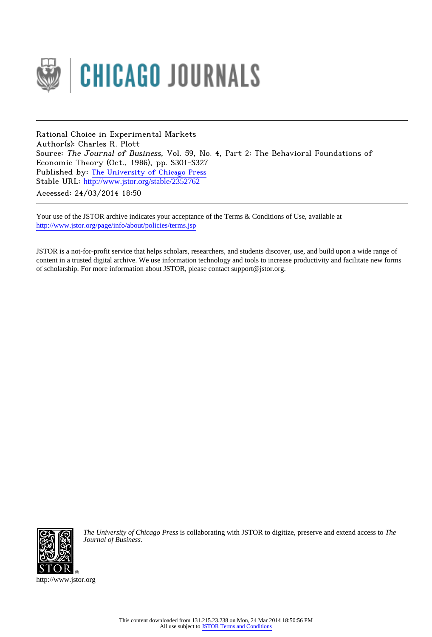

Rational Choice in Experimental Markets Author(s): Charles R. Plott Source: The Journal of Business, Vol. 59, No. 4, Part 2: The Behavioral Foundations of Economic Theory (Oct., 1986), pp. S301-S327 Published by: [The University of Chicago Press](http://www.jstor.org/action/showPublisher?publisherCode=ucpress) Stable URL: [http://www.jstor.org/stable/2352762](http://www.jstor.org/stable/2352762?origin=JSTOR-pdf) Accessed: 24/03/2014 18:50

Your use of the JSTOR archive indicates your acceptance of the Terms & Conditions of Use, available at <http://www.jstor.org/page/info/about/policies/terms.jsp>

JSTOR is a not-for-profit service that helps scholars, researchers, and students discover, use, and build upon a wide range of content in a trusted digital archive. We use information technology and tools to increase productivity and facilitate new forms of scholarship. For more information about JSTOR, please contact support@jstor.org.



*The University of Chicago Press* is collaborating with JSTOR to digitize, preserve and extend access to *The Journal of Business.*

http://www.jstor.org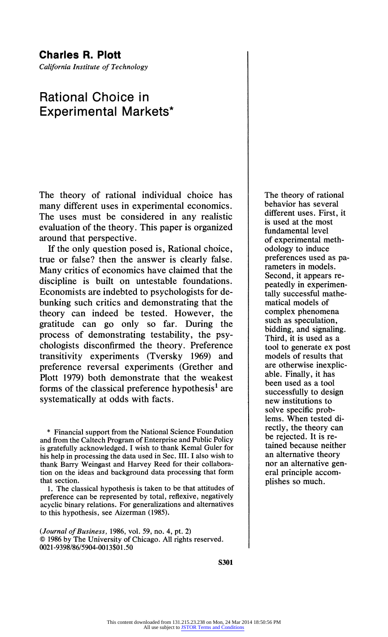**California Institute of Technology** 

# **Rational Choice in Experimental Markets\***

**The theory of rational individual choice has many different uses in experimental economics. The uses must be considered in any realistic evaluation of the theory. This paper is organized around that perspective.** 

**If the only question posed is, Rational choice, true or false? then the answer is clearly false. Many critics of economics have claimed that the discipline is built on untestable foundations. Economists are indebted to psychologists for debunking such critics and demonstrating that the theory can indeed be tested. However, the gratitude can go only so far. During the process of demonstrating testability, the psychologists disconfirmed the theory. Preference transitivity experiments (Tversky 1969) and preference reversal experiments (Grether and Plott 1979) both demonstrate that the weakest forms of the classical preference hypothesis' are systematically at odds with facts.** 

**\* Financial support from the National Science Foundation and from the Caltech Program of Enterprise and Public Policy is gratefully acknowledged. I wish to thank Kemal Guler for his help in processing the data used in Sec. III. I also wish to thank Barry Weingast and Harvey Reed for their collaboration on the ideas and background data processing that form that section.** 

**1. The classical hypothesis is taken to be that attitudes of preference can be represented by total, reflexive, negatively acyclic binary relations. For generalizations and alternatives to this hypothesis, see Aizerman (1985).** 

**(Journal of Business, 1986, vol. 59, no. 4, pt. 2) ? 1986 by The University of Chicago. All rights reserved. 0021-9398/86/5904-0013\$01.50** 

**S301** 

**The theory of rational behavior has several different uses. First, it is used at the most fundamental** level **of experimental methodology to induce preferences used as parameters in models. Second, it appears repeatedly in experimentally successful mathematical models of complex phenomena such as speculation, bidding, and signaling. Third, it is used as a tool to generate ex post models of results that are otherwise inexplicable. Finally, it has been used as a tool successfully to design new institutions to solve specific problems. When tested directly, the theory can be rejected. It is retained because neither an alternative theory nor an alternative general principle accomplishes so much.**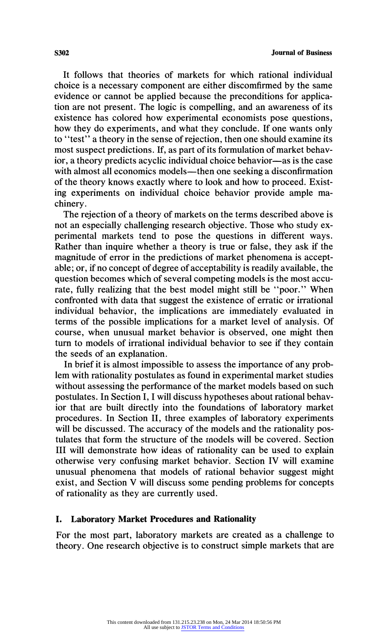**It follows that theories of markets for which rational individual choice is a necessary component are either discomfirmed by the same evidence or cannot be applied because the preconditions for application are not present. The logic is compelling, and an awareness of its existence has colored how experimental economists pose questions, how they do experiments, and what they conclude. If one wants only to "test" a theory in the sense of rejection, then one should examine its most suspect predictions. If, as part of its formulation of market behavior, a theory predicts acyclic individual choice behavior-as is the case**  with almost all economics models—then one seeking a disconfirmation **of the theory knows exactly where to look and how to proceed. Existing experiments on individual choice behavior provide ample machinery.** 

**The rejection of a theory of markets on the terms described above is not an especially challenging research objective. Those who study experimental markets tend to pose the questions in different ways. Rather than inquire whether a theory is true or false, they ask if the magnitude of error in the predictions of market phenomena is acceptable; or, if no concept of degree of acceptability is readily available, the question becomes which of several competing models is the most accurate, fully realizing that the best model might still be "poor." When confronted with data that suggest the existence of erratic or irrational individual behavior, the implications are immediately evaluated in terms of the possible implications for a market level of analysis. Of course, when unusual market behavior is observed, one might then turn to models of irrational individual behavior to see if they contain the seeds of an explanation.** 

**In brief it is almost impossible to assess the importance of any problem with rationality postulates as found in experimental market studies without assessing the performance of the market models based on such postulates. In Section I, I will discuss hypotheses about rational behavior that are built directly into the foundations of laboratory market procedures. In Section II, three examples of laboratory experiments will be discussed. The accuracy of the models and the rationality postulates that form the structure of the rnodels will be covered. Section III will demonstrate how ideas of rationality can be used to explain otherwise very confusing market behavior. Section IV will examine unusual phenomena that models of rational behavior suggest might exist, and Section V will discuss some pending problems for concepts of rationality as they are currently used.** 

#### **I. Laboratory Market Procedures and Rationality**

**For the most part, laboratory markets are created as a challenge to theory. One research objective is to construct simple markets that are**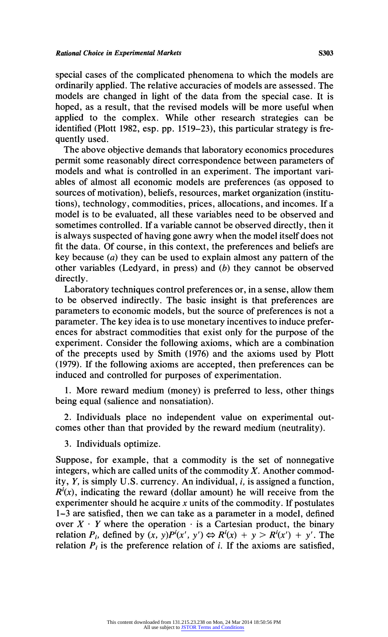**special cases of the complicated phenomena to which the models are ordinarily applied. The relative accuracies of models are assessed. The models are changed in light of the data from the special case. It is hoped, as a result, that the revised models will be more useful when applied to the complex. While other research strategies can be identified (Plott 1982, esp. pp. 1519-23), this particular strategy is frequently used.** 

**The above objective demands that laboratory economics procedures permit some reasonably direct correspondence between parameters of models and what is controlled in an experiment. The important variables of almost all economic models are preferences (as opposed to sources of motivation), beliefs, resources, market organization (institutions), technology, commodities, prices, allocations, and incomes. If a model is to be evaluated, all these variables need to be observed and sometimes controlled. If a variable cannot be observed directly, then it is always suspected of having gone awry when the model itself does not fit the data. Of course, in this context, the preferences and beliefs are key because (a) they can be used to explain almost any pattern of the other variables (Ledyard, in press) and (b) they cannot be observed directly.** 

**Laboratory techniques control preferences or, in a sense, allow them to be observed indirectly. The basic insight is that preferences are parameters to economic models, but the source of preferences is not a parameter. The key idea is to use monetary incentives to induce preferences for abstract commodities that exist only for the purpose of the experiment. Consider the following axioms, which are a combination of the precepts used by Smith (1976) and the axioms used by Plott (1979). If the following axioms are accepted, then preferences can be induced and controlled for purposes of experimentation.** 

**1. More reward medium (money) is preferred to less, other things being equal (salience and nonsatiation).** 

**2. Individuals place no independent value on experimental outcomes other than that provided by the reward medium (neutrality).** 

**3. Individuals optimize.** 

**Suppose, for example, that a commodity is the set of nonnegative integers, which are called units of the commodity X. Another commodity, Y, is simply U.S. currency. An individual, i, is assigned a function,**   $R^{i}(x)$ , indicating the reward (dollar amount) he will receive from the **experimenter should he acquire x units of the commodity. If postulates 1-3 are satisfied, then we can take as a parameter in a model, defined**  over  $X \cdot Y$  where the operation  $\cdot$  is a Cartesian product, the binary **relation**  $P_i$ , defined by  $(x, y)P^i(x', y') \Leftrightarrow R^i(x) + y > R^i(x') + y'$ . The relation  $P_i$  is the preference relation of *i*. If the axioms are satisfied,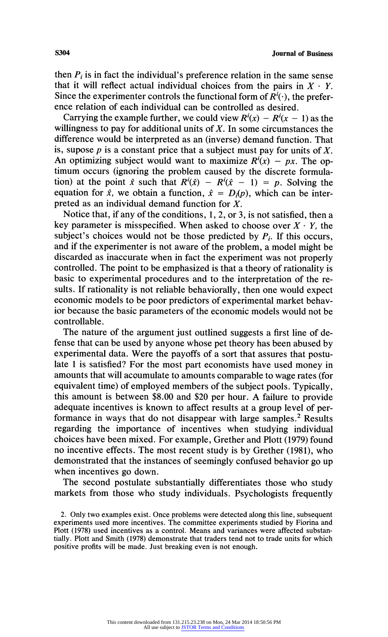then  $P_i$  is in fact the individual's preference relation in the same sense that it will reflect actual individual choices from the pairs in  $X \cdot Y$ . Since the experimenter controls the functional form of  $R^i(\cdot)$ , the prefer**ence relation of each individual can be controlled as desired.** 

Carrying the example further, we could view  $R^i(x) - R^i(x - 1)$  as the **willingness to pay for additional units of X. In some circumstances the difference would be interpreted as an (inverse) demand function. That is, supose p is a constant price that a subject must pay for units of X.**  An optimizing subject would want to maximize  $R^i(x) - px$ . The op**timum occurs (ignoring the problem caused by the discrete formulation)** at the point  $\hat{x}$  such that  $R^i(\hat{x}) - R^i(\hat{x} - 1) = p$ . Solving the equation for  $\hat{x}$ , we obtain a function,  $\hat{x} = D_i(p)$ , which can be inter**preted as an individual demand function for X.** 

**Notice that, if any of the conditions, 1, 2, or 3, is not satisfied, then a**  key parameter is misspecified. When asked to choose over  $X \cdot Y$ , the subject's choices would not be those predicted by  $P_i$ . If this occurs, **and if the experimenter is not aware of the problem, a model might be discarded as inaccurate when in fact the experiment was not properly controlled. The point to be emphasized is that a theory of rationality is basic to experimental procedures and to the interpretation of the results. If rationality is not reliable behaviorally, then one would expect economic models to be poor predictors of experimental market behavior because the basic parameters of the economic models would not be controllable.** 

**The nature of the argument just outlined suggests a first line of defense that can be used by anyone whose pet theory has been abused by experimental data. Were the payoffs of a sort that assures that postulate 1 is satisfied? For the most part economists have used money in amounts that will acoumulate to amounts comparable to wage rates (for equivalent time) of employed members of the subject pools. Typically, this amount is between \$8.00 and \$20 per hour. A failure to provide adequate incentives is known to affect results at a group level of performance in ways that do not disappear with large samples.2 Results regarding the importance of incentives when studying individual choices have been mixed. For example, Grether and Plott (1979) found no incentive effects. The most recent study is by Grether (1981), who demonstrated that the instances of seemingly confused behavior go up when incentives go down.** 

**The second postulate substantially differentiates those who study markets from those who study individuals. Psychologists frequently** 

**<sup>2.</sup> Only two examples exist. Once problems were detected along this line, subsequent experiments used more incentives. The committee experiments studied by Fiorina and Plott (1978) used incentives as a control. Means and variances were affected substantially. Plott and Smith (1978) demonstrate that traders tend not to trade units for which positive profits will be made. Just breaking even is not enough.**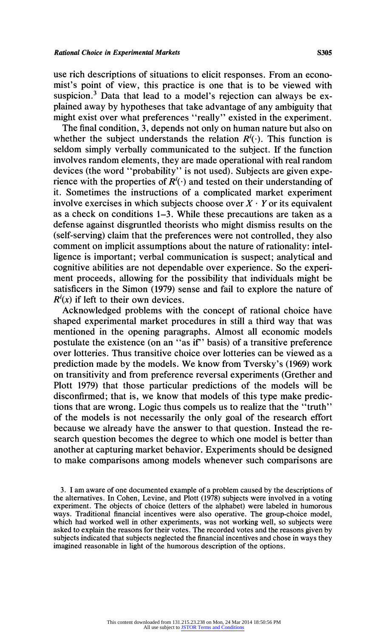**use rich descriptions of situations to elicit responses. From an economist's point of view, this practice is one that is to be viewed with suspicion.3 Data that lead to a model's rejection can always be explained away by hypotheses that take advantage of any ambiguity that might exist over what preferences "really" existed in the experiment.** 

**The final condition, 3, depends not only on human nature but also on**  whether the subject understands the relation  $R^i(\cdot)$ . This function is **seldom simply verbally communicated to the subject. If the function involves random elements, they are made operational with real random devices (the word "probability" is not used). Subjects are given expe**rience with the properties of  $R^{i}(\cdot)$  and tested on their understanding of **it. Sometimes the instructions of a complicated market experiment**  involve exercises in which subjects choose over  $X \cdot Y$  or its equivalent **as a check on conditions 1-3. While these precautions are taken as a defense against disgruntled theorists who might dismiss results on the (self-serving) claim that the preferences were not controlled, they also comment on implicit assumptions about the nature of rationality: intelligence is important; verbal communication is suspect; analytical and cognitive abilities are not dependable over experience. So the experiment proceeds, allowing for the possibility that individuals might be satisficers in the Simon (1979) sense and fail to explore the nature of**   $R<sup>i</sup>(x)$  if left to their own devices.

**Acknowledged problems with the concept of rational choice have shaped experimental market procedures in still a third way that was mentioned in the opening paragraphs. Almost all economic models postulate the existence (on an "as if' basis) of a transitive preference over lotteries. Thus transitive choice over lotteries can be viewed as a prediction made by the models. We know from Tversky's (1969) work on transitivity and from preference reversal experiments (Grether and Plott 1979) that those particular predictions of the models will be disconfirmed; that is, we know that models of this type make predictions that are wrong. Logic thus compels us to realize that the "truth" of the models is not necessarily the only goal of the research effort because we already have the answer to that question. Instead the research question becomes the degree to which one model is better than another at capturing market behavior. Experiments should be designed to make comparisons among models whenever such comparisons are** 

**3. I am aware of one documented example of a problem caused by the descriptions of the alternatives. In Cohen, Levine, and Plott (1978) subjects were involved in a voting experiment. The objects of choice (letters of the alphabet) were labeled in humorous ways. Traditional financial incentives were also operative. The group-choice model, which had worked well in other experiments, was not working well, so subjects were asked to explain the reasons for their votes. The recorded votes and the reasons given by subjects indicated that subjects neglected the financial incentives and chose in ways they imagined reasonable in light of the humorous description of the options.**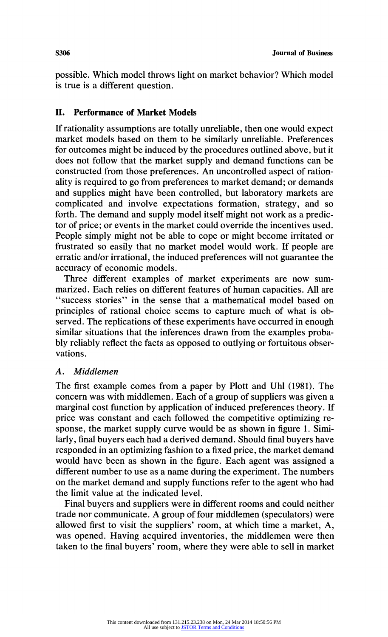**possible. Which model throws light on market behavior? Which model is true is a different question.** 

## **II. Performance of Market Models**

**If rationality assumptions are totally unreliable, then one would expect market models based on them to be similarly unreliable. Preferences for outcomes might be induced by the procedures outlined above, but it does not follow that the market supply and demand functions can be constructed from those preferences. An uncontrolled aspect of rationality is required to go from preferences to market demand; or demands and supplies might have been controlled, but laboratory markets are complicated and involve expectations formation, strategy, and so forth. The demand and supply model itself might not work as a predictor of price; or events in the market could override the incentives used. People simply might not be able to cope or might become irritated or frustrated so easily that no market model would work. If people are erratic and/or irrational, the induced preferences will not guarantee the accuracy of economic models.** 

**Three different examples of market experiments are now summarized. Each relies on different features of human capacities. All are "success stories" in the sense that a mathematical model based on principles of rational choice seems to capture much of what is observed. The replications of these experiments have occurred in enough similar situations that the inferences drawn from the examples probably reliably reflect the facts as opposed to outlying or fortuitous observations.** 

## **A. Middlemen**

**The first example comes from a paper by Plott and Uhl (1981). The concern was with middlemen. Each of a group of suppliers was given a marginal cost function by application of induced preferences theory. If price was constant and each followed the competitive optimizing response, the market supply curve would be as shown in figure 1. Similarly, final buyers each had a derived demand. Should final buyers have responded in an optimizing fashion to a fixed price, the market demand would have been as shown in the figure. Each agent was assigned a different number to use as a name during the experiment. The numbers on the market demand and supply functions refer to the agent who had the limit value at the indicated level.** 

**Final buyers and suppliers were in different rooms and could neither trade nor communicate. A group of four middlemen (speculators) were allowed first to visit the suppliers' room, at which time a market, A, was opened. Having acquired inventories, the middlemen were then taken to the final buyers' room, where they were able to sell in market**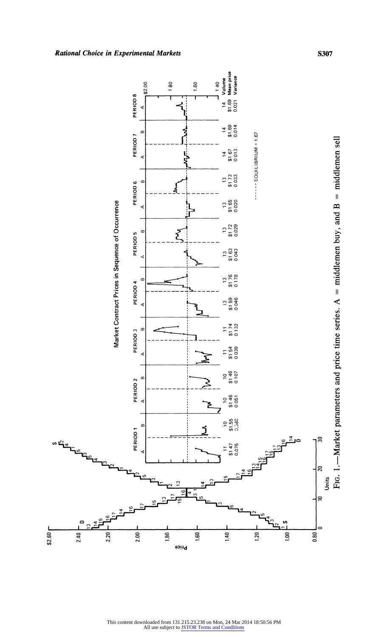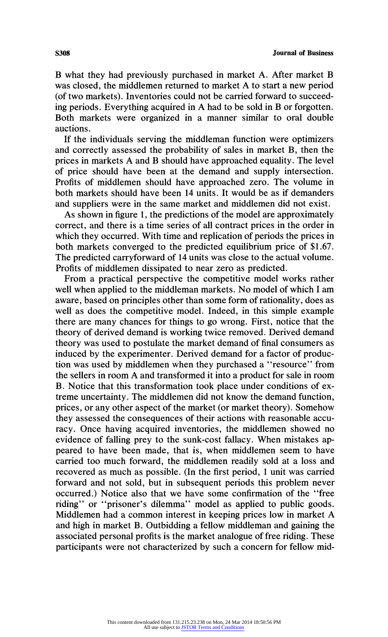**B what they had previously purchased in market A. After market B was closed, the middlemen returned to market A to start a new period (of two markets). Inventories could not be carried forward to succeeding periods. Everything acquired in A had to be sold in B or forgotten. Both markets were organized in a manner similar to oral double auctions.** 

**If the individuals serving the middleman function were optimizers and correctly assessed the probability of sales in market B, then the prices in markets A and B should have approached equality. The level of price should have been at the demand and supply intersection. Profits of middlemen should have approached zero. The volume in both markets should have been 14 units. It would be as if demanders and suppliers were in the same market and middlemen did not exist.** 

**As shown in figure 1, the predictions of the model are approximately correct, and there is a time series of all contract prices in the order in which they occurred. With time and replication of periods the prices in both markets converged to the predicted equilibrium price of \$1.67. The predicted carryforward of 14 units was close to the actual volume. Profits of middlemen dissipated to near zero as predicted.** 

**From a practical perspective the competitive model works rather well when applied to the middleman markets. No model of which I am aware, based on principles other than some form of rationality, does as well as does the competitive model. Indeed, in this simple example there are many chances for things to go wrong. First, notice that the theory of derived demand is working twice removed. Derived demand theory was used to postulate the market demand of final consumers as induced by the experimenter. Derived demand for a factor of production was used by middlemen when they purchased a "resource" from the sellers in room A and transformed it into a product for sale in room B. Notice that this transformation took place under conditions of extreme uncertainty. The middlemen did not know the demand function, prices, or any other aspect of the market (or market theory). Somehow they assessed the consequences of their actions with reasonable accuracy. Once having acquired inventories, the middlemen showed no evidence of falling prey to the sunk-cost fallacy. When mistakes appeared to have been made, that is, when middlemen seem to have carried too much forward, the middlemen readily sold at a loss and recovered as much as possible. (In the first period, 1 unit was carried forward and not sold, but in subsequent periods this problem never occurred.) Notice also that we have some confirmation of the "free riding" or "prisoner's dilemma" model as applied to public goods. Middlemen had a common interest in keeping prices low in market A and high in market B. Outbidding a fellow middleman and gaining the associated personal profits is the market analogue of free riding. These participants were not characterized by such a concern for fellow mid-**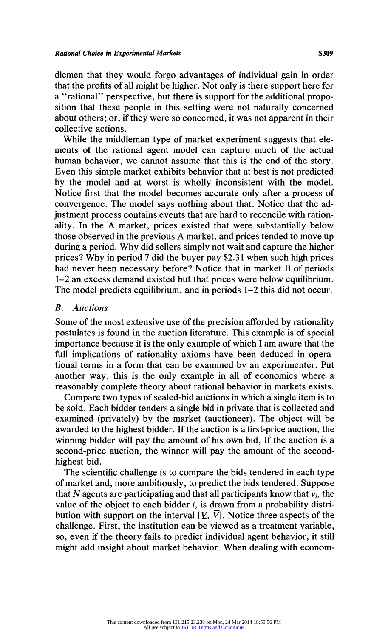**dlemen that they would forgo advantages of individual gain in order that the profits of all might be higher. Not only is there support here for a "rational" perspective, but there is support for the additional proposition that these people in this setting were not naturally concerned about others; or, if they were so concerned, it was not apparent in their collective actions.** 

**While the middleman type of market experiment suggests that elements of the rational agent model can capture much of the actual human behavior, we cannot assume that this is the end of the story. Even this simple market exhibits behavior that at best is not predicted by the model and at worst is wholly inconsistent with the model. Notice first that the model becomes accurate only after a process of convergence. The model says nothing about that. Notice that the adjustment process contains events that are hard to reconcile with rationality. In the A market, prices existed that were substantially below those observed in the previous A market, and prices tended to move up during a period. Why did sellers simply not wait and capture the higher prices? Why in period 7 did the buyer pay \$2.31 when such high prices had never been necessary before? Notice that in market B of periods 1-2 an excess demand existed but that prices were below equilibrium. The model predicts equilibrium, and in periods 1-2 this did not occur.** 

#### **B. Auctions**

**Some of the most extensive use of the precision afforded by rationality postulates is found in the auction literature. This example is of special importance because it is the only example of which I am aware that the full implications of rationality axioms have been deduced in operational terms in a form that can be examined by an experimenter. Put another way, this is the only example in all of economics where a reasonably complete theory about rational behavior in markets exists.** 

**Compare two types of sealed-bid auctions in which a single item is to be sold. Each bidder tenders a single bid in private that is collected and examined (privately) by the market (auctioneer). The object will be awarded to the highest bidder. If the auction is a first-price auction, the winning bidder will pay the amount of his own bid. If the auction is a second-price auction, the winner will pay the amount of the secondhighest bid.** 

**The scientific challenge is to compare the bids tendered in each type of market and, more ambitiously, to predict the bids tendered. Suppose**  that N agents are participating and that all participants know that  $v_i$ , the **value of the object to each bidder i, is drawn from a probability distri**bution with support on the interval  $[K, \overline{V}]$ . Notice three aspects of the **challenge. First, the institution can be viewed as a treatment variable, so, even if the theory fails to predict individual agent behavior, it still might add insight about market behavior. When dealing with econom-**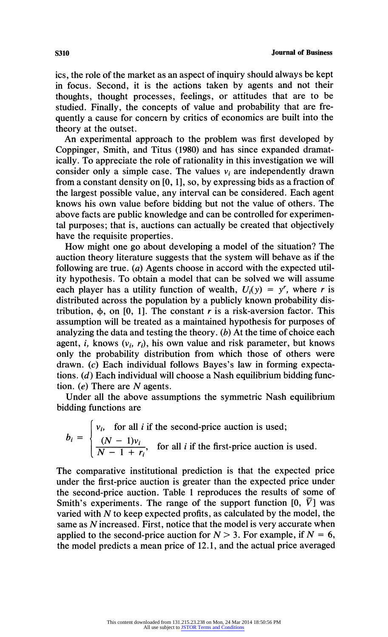**ics, the role of the market as an aspect of inquiry should always be kept in focus. Second, it is the actions taken by agents and not their thoughts, thought processes, feelings, or attitudes that are to be studied. Finally, the concepts of value and probability that are frequently a cause for concern by critics of economics are built into the theory at the outset.** 

**An experimental approach to the problem was first developed by Coppinger, Smith, and Titus (1980) and has since expanded dramatically. To appreciate the role of rationality in this investigation we will**  consider only a simple case. The values  $v_i$  are independently drawn **from a constant density on [0, 1], so, by expressing bids as a fraction of the largest possible value, any interval can be considered. Each agent knows his own value before bidding but not the value of others. The above facts are public knowledge and can be controlled for experimental purposes; that is, auctions can actually be created that objectively have the requisite properties.** 

**How might one go about developing a model of the situation? The auction theory literature suggests that the system will behave as if the following are true. (a) Agents choose in accord with the expected utility hypothesis. To obtain a model that can be solved we will assume**  each player has a utility function of wealth,  $U_i(y) = y^r$ , where r is **distributed across the population by a publicly known probability dis**tribution,  $\phi$ , on [0, 1]. The constant r is a risk-aversion factor. This **assumption will be treated as a maintained hypothesis for purposes of analyzing the data and testing the theory. (b) At the time of choice each**  agent, *i*, knows  $(v_i, r_i)$ , his own value and risk parameter, but knows **only the probability distribution from which those of others were drawn. (c) Each individual follows Bayes's law in forming expectations. (d) Each individual will choose a Nash equilibrium bidding function. (e) There are N agents.** 

**Under all the above assumptions the symmetric Nash equilibrium bidding functions are** 

$$
b_i = \begin{cases} v_i, & \text{for all } i \text{ if the second-price auction is used;} \\ \frac{(N-1)v_i}{N-1+r_i}, & \text{for all } i \text{ if the first-price auction is used.} \end{cases}
$$

**The comparative institutional prediction is that the expected price under the first-price auction is greater than the expected price under the second-price auction. Table 1 reproduces the results of some of**  Smith's experiments. The range of the support function  $[0, \overline{V}]$  was **varied with N to keep expected profits, as calculated by the model, the same as N increased. First, notice that the model is very accurate when**  applied to the second-price auction for  $N > 3$ . For example, if  $N = 6$ , **the model predicts a mean price of 12. 1, and the actual price averaged**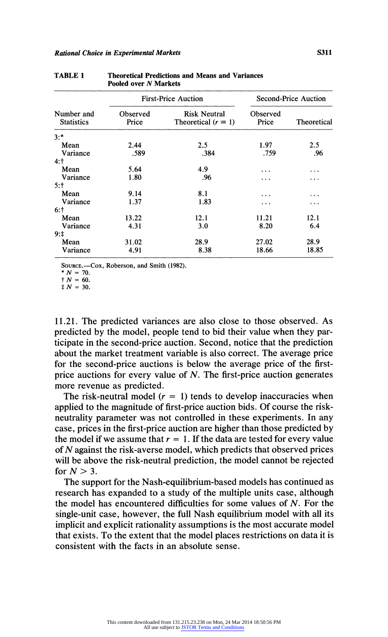|                                 | <b>First-Price Auction</b> |                                                   | Second-Price Auction |             |
|---------------------------------|----------------------------|---------------------------------------------------|----------------------|-------------|
| Number and<br><b>Statistics</b> | Observed<br>Price          | <b>Risk Neutral</b><br>Theoretical $(r \equiv 1)$ | Observed<br>Price    | Theoretical |
| $3:$ *                          |                            |                                                   |                      |             |
| Mean                            | 2.44                       | 2.5                                               | 1.97                 | 2.5         |
| Variance                        | .589                       | .384                                              | .759                 | .96         |
| 4:†                             |                            |                                                   |                      |             |
| Mean                            | 5.64                       | 4.9                                               | .                    | $\cdots$    |
| Variance                        | 1.80                       | .96                                               | .                    | .           |
| 5:1                             |                            |                                                   |                      |             |
| Mean                            | 9.14                       | 8.1                                               | .                    | .           |
| Variance                        | 1.37                       | 1.83                                              | .                    | .           |
| 6:†                             |                            |                                                   |                      |             |
| Mean                            | 13.22                      | 12.1                                              | 11.21                | 12.1        |
| Variance                        | 4.31                       | 3.0                                               | 8.20                 | 6.4         |
| 9:1                             |                            |                                                   |                      |             |
| Mean                            | 31.02                      | 28.9                                              | 27.02                | 28.9        |
| Variance                        | 4.91                       | 8.38                                              | 18.66                | 18.85       |

**TABLE 1 Theoretical Predictions and Means and Variances Pooled over N Markets** 

SOURCE.**-**Cox, Roberson, and Smith (1982).

 $* N = 70.$ 

 $\dagger N = 60.$  $\sharp N = 30.$ 

**11.21. The predicted variances are also close to those observed. As predicted by the model, people tend to bid their value when they participate in the second-price auction. Second, notice that the prediction about the market treatment variable is also correct. The average price for the second-price auctions is below the average price of the firstprice auctions for every value of N. The first-price auction generates more revenue as predicted.** 

The risk-neutral model  $(r = 1)$  tends to develop inaccuracies when **applied to the magnitude of first-price auction bids. Of course the riskneutrality parameter was not controlled in these experiments. In any case, prices in the first-price auction are higher than those predicted by**  the model if we assume that  $r = 1$ . If the data are tested for every value **of N against the risk-averse model, which predicts that observed prices will be above the risk-neutral prediction, the model cannot be rejected**  for  $N > 3$ .

**The support for the Nash-equilibrium-based models has continued as research has expanded to a study of the multiple units case, although the model has encountered difficulties for some values of N. For the single-unit case, however, the full Nash equilibrium model with all its implicit and explicit rationality assumptions is the most accurate model that exists. To the extent that the model places restrictions on data it is consistent with the facts in an absolute sense.**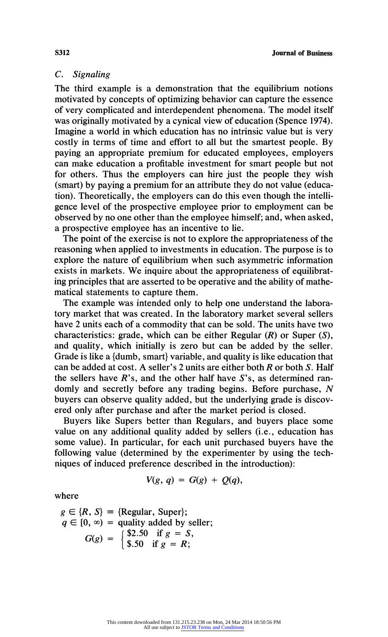#### **C. Signaling**

**The third example is a demonstration that the equilibrium notions motivated by concepts of optimizing behavior can capture the essence of very complicated and interdependent phenomena. The model itself was originally motivated by a cynical view of education (Spence 1974). Imagine a world in which education has no intrinsic value but is very costly in terms of time and effort to all but the smartest people. By paying an appropriate premium for educated employees, employers can make education a profitable investment for smart people but not for others. Thus the employers can hire just the people they wish (smart) by paying a premium for an attribute they do not value (education). Theoretically, the employers can do this even though the intelligence level of the prospective employee prior to employment can be observed by no one other than the employee himself; and, when asked, a prospective employee has an incentive to lie.** 

**The point of the exercise is not to explore the appropriateness of the reasoning when applied to investments in education. The purpose is to explore the nature of equilibrium when such asymmetric information exists in markets. We inquire about the appropriateness of equilibrating principles that are asserted to be operative and the ability of mathematical statements to capture them.** 

**The example was intended only to help one understand the laboratory market that was created. In the laboratory market several sellers have 2 units each of a commodity that can be sold. The units have two characteristics: grade, which can be either Regular (R) or Super (S), and quality, which initially is zero but can be added by the seller. Grade is like a {dumb, smart} variable, and quality is like education that can be added at cost. A seller's 2 units are either both R or both S. Half the sellers have R's, and the other half have S's, as determined randomly and secretly before any trading begins. Before purchase, N buyers can observe quality added, but the underlying grade is discovered only after purchase and after the market period is closed.** 

**Buyers like Supers better than Regulars, and buyers place some value on any additional quality added by sellers (i.e., education has some value). In particular, for each unit purchased buyers have the following value (determined by the experimenter by using the techniques of induced preference described in the introduction):** 

$$
V(g, q) = G(g) + Q(q),
$$

**where** 

 $g \in \{R, S\}$  = {Regular, Super};  $q \in [0, \infty) =$  **quality added by seller; G(g)** =  $\begin{cases} $2.50 \text{ if } g = S, \\ $5.50 \text{ if } g = R; \end{cases}$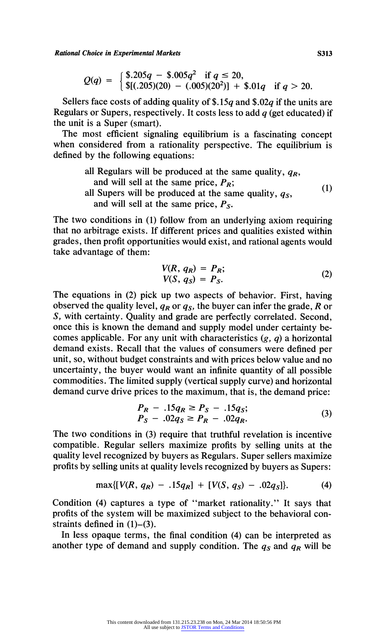**Rational Choice in Experimental Markets S313** 

$$
Q(q) = \begin{cases} \$.205q - \$.005q^2 & \text{if } q \le 20, \\ \$[(.205)(20) - (.005)(20^2)] + \$.01q & \text{if } q > 20. \end{cases}
$$

**Sellers face costs of adding quality of \$. 15q and \$.02q if the units are Regulars or Supers, respectively. It costs less to add q (get educated) if the unit is a Super (smart).** 

**The most efficient signaling equilibrium is a fascinating concept when considered from a rationality perspective. The equilibrium is defined by the following equations:** 

> all Regulars will be produced at the same quality,  $q_R$ , and will sell at the same price,  $P_R$ ;  $(1)$ **all Supers will be produced at the same quality, qs, and will sell at the same price, Ps.**

**The two conditions in (1) follow from an underlying axiom requiring that no arbitrage exists. If different prices and qualities existed within grades, then profit opportunities would exist, and rational agents would take advantage of them:** 

$$
V(R, q_R) = P_R;
$$
  
\n
$$
V(S, q_S) = P_S.
$$
\n(2)

**The equations in (2) pick up two aspects of behavior. First, having observed the quality level,**  $q_R$  **or**  $q_S$ **, the buyer can infer the grade, R or S, with certainty. Quality and grade are perfectly correlated. Second, once this is known the demand and supply model under certainty becomes applicable. For any unit with characteristics (g, q) a horizontal demand exists. Recall that the values of consumers were defined per unit, so, without budget constraints and with prices below value and no uncertainty, the buyer would want an infinite quantity of all possible commodities. The limited supply (vertical supply curve) and horizontal demand curve drive prices to the maximum, that is, the demand price:** 

$$
P_R - .15q_R \ge P_S - .15q_S;
$$
  
\n
$$
P_S - .02q_S \ge P_R - .02q_R.
$$
 (3)

**The two conditions in (3) require that truthful revelation is incentive compatible. Regular sellers maximize profits by selling units at the quality level recognized by buyers as Regulars. Super sellers maximize profits by selling units at quality levels recognized by buyers as Supers:** 

$$
\max\{[V(R, q_R) - .15q_R] + [V(S, q_S) - .02q_S]\}.
$$
 (4)

**Condition (4) captures a type of "market rationality." It says that profits of the system will be maximized subject to the behavioral constraints defined in (1)-(3).** 

**In less opaque terms, the final condition (4) can be interpreted as**  another type of demand and supply condition. The  $q_s$  and  $q_R$  will be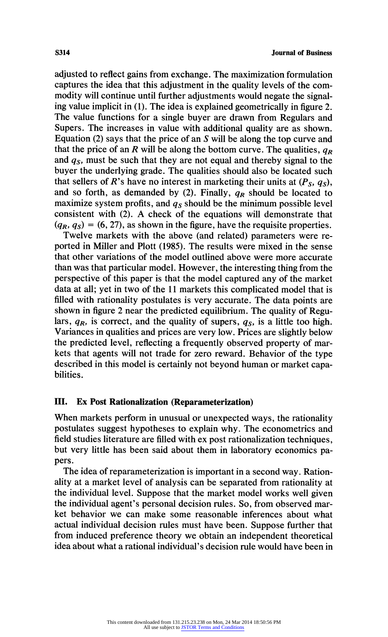**adjusted to reflect gains from exchange. The maximization formulation captures the idea that this adjustment in the quality levels of the commodity will continue until further adjustments would negate the signaling value implicit in (1). The idea is explained geometrically in figure 2. The value functions for a single buyer are drawn from Regulars and Supers. The increases in value with additional quality are as shown. Equation (2) says that the price of an S will be along the top curve and**  that the price of an R will be along the bottom curve. The qualities,  $q_R$ and  $q_s$ , must be such that they are not equal and thereby signal to the **buyer the underlying grade. The qualities should also be located such**  that sellers of R's have no interest in marketing their units at  $(P_s, q_s)$ , and so forth, as demanded by (2). Finally,  $q_R$  should be located to maximize system profits, and  $q_s$  should be the minimum possible level **consistent with (2). A check of the equations will demonstrate that**   $(q_R, q_S) = (6, 27)$ , as shown in the figure, have the requisite properties.

**Twelve markets with the above (and related) parameters were reported in Miller and Plott (1985). The results were mixed in the sense that other variations of the model outlined above were more accurate than was that particular model. However, the interesting thing from the perspective of this paper is that the model captured any of the market data at all; yet in two of the 11 markets this complicated model that is filled with rationality postulates is very accurate. The data points are shown in figure 2 near the predicted equilibrium. The quality of Regu**lars,  $q_R$ , is correct, and the quality of supers,  $q_S$ , is a little too high. **Variances in qualities and prices are very low. Prices are slightly below the predicted level, reflecting a frequently observed property of markets that agents will not trade for zero reward. Behavior of the type described in this model is certainly not beyond human or market capabilities.** 

#### **III. Ex Post Rationalization (Reparameterization)**

**When markets perform in unusual or unexpected ways, the rationality postulates suggest hypotheses to explain why. The econometrics and field studies literature are filled with ex post rationalization techniques, but very little has been said about them in laboratory economics papers.** 

**The idea of reparameterization is important in a second way. Rationality at a market level of analysis can be separated from rationality at the individual level. Suppose that the market model works well given the individual agent's personal decision rules. So, from observed market behavior we can make some reasonable inferences about what actual individual decision rules must have been. Suppose further that from induced preference theory we obtain an independent theoretical idea about what a rational individual's decision rule would have been in**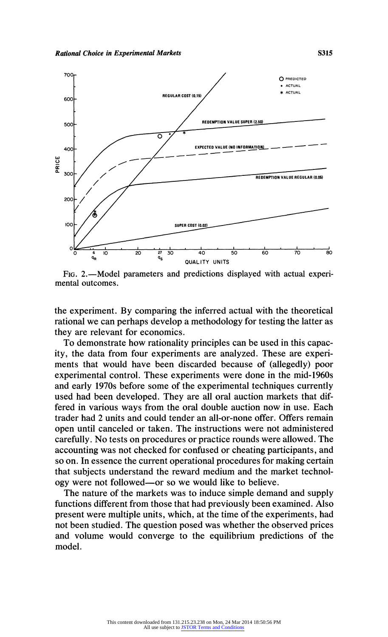

FIG. 2.—Model parameters and predictions displayed with actual experi**mental outcomes.** 

**the experiment. By comparing the inferred actual with the theoretical rational we can perhaps develop a methodology for testing the latter as they are relevant for economics.** 

**To demonstrate how rationality principles can be used in this capacity, the data from four experiments are analyzed. These are experiments that would have been discarded because of (allegedly) poor experimental control. These experiments were done in the mid-1960s and early 1970s before some of the experimental techniques currently used had been developed. They are all oral auction markets that differed in various ways from the oral double auction now in use. Each trader had 2 units and could tender an all-or-none offer. Offers remain open until canceled or taken. The instructions were not administered carefully. No tests on procedures or practice rounds were allowed. The accounting was not checked for confused or cheating participants, and so on. In essence the current operational procedures for making certain that subjects understand the reward medium and the market technology were not followed-or so we would like to believe.** 

**The nature of the markets was to induce simple demand and supply functions different from those that had previously been examined. Also present were multiple units, which, at the time of the experiments, had not been studied. The question posed was whether the observed prices and volume would converge to the equilibrium predictions of the model.**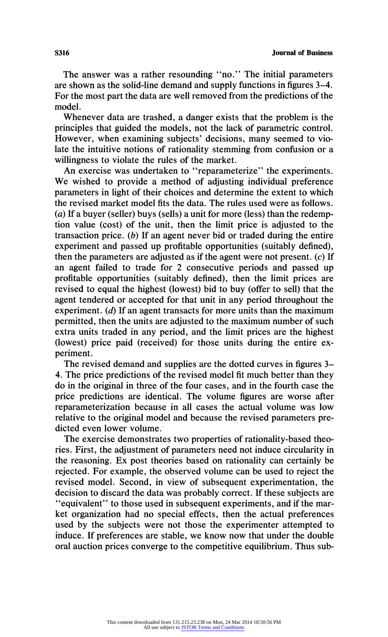**The answer was a rather resounding "no." The initial parameters are shown as the solid-line demand and supply functions in figures 3-4. For the most part the data are well removed from the predictions of the model.** 

**Whenever data are trashed, a danger exists that the problem is the principles that guided the models, not the lack of parametric control. However, when examining subjects' decisions, many seemed to violate the intuitive notions of rationality stemming from confusion or a willingness to violate the rules of the market.** 

**An exercise was undertaken to "reparameterize" the experiments. We wished to provide a method of adjusting individual preference parameters in light of their choices and determine the extent to which the revised market model fits the data. The rules used were as follows. (a) If a buyer (seller) buys (sells) a unit for more (less) than the redemption value (cost) of the unit, then the limit price is adjusted to the transaction price. (b) If an agent never bid or traded during the entire experiment and passed up profitable opportunities (suitably defined), then the parameters are adjusted as if the agent were not present. (c) If an agent failed to trade for 2 consecutive periods and passed up profitable opportunities (suitably defined), then the limit prices are revised to equal the highest (lowest) bid to buy (offer to sell) that the agent tendered or accepted for that unit in any period throughout the experiment. (d) If an agent transacts for more units than the maximum permitted, then the units are adjusted to the maximum number of such extra units traded in any period, and the limit prices are the highest (lowest) price paid (received) for those units during the entire experiment.** 

**The revised demand and supplies are the dotted curves in figures 3- 4. The price predictions of the revised model fit much better than they do in the original in three of the four cases, and in the fourth case the price predictions are identical. The volume figures are worse after reparameterization because in all cases the actual volume was low relative to the original model and because the revised parameters predicted even lower volume.** 

**The exercise demonstrates two properties of rationality-based theories. First, the adjustment of parameters need not induce circularity in the reasoning. Ex post theories based on rationality can certainly be rejected. For example, the observed volume can be used to reject the revised model. Second, in view of subsequent experimentation, the decision to discard the data was probably correct. If these subjects are "equivalent" to those used in subsequent experiments, and if the market organization had no special effects, then the actual preferences used by the subjects were not those the experimenter attempted to induce. If preferences are stable, we know now that under the double oral auction prices converge to the competitive equilibrium. Thus sub-**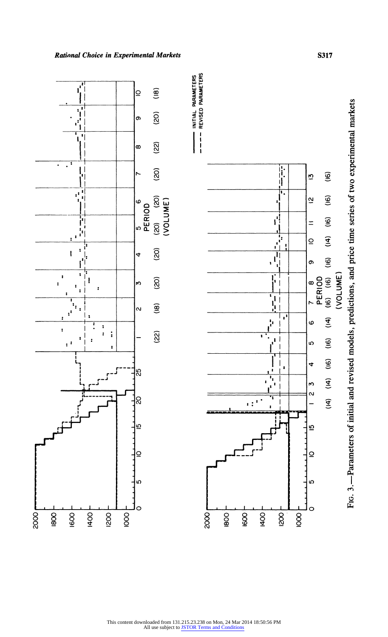

 $\bullet$ 

 $\ddot{\cdot}$ 

2000 1800

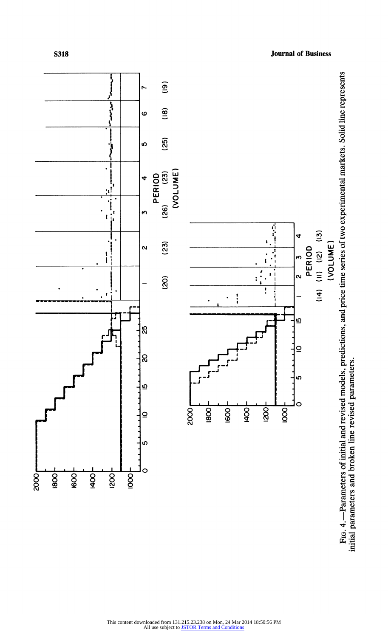



**S318 Journal of Business**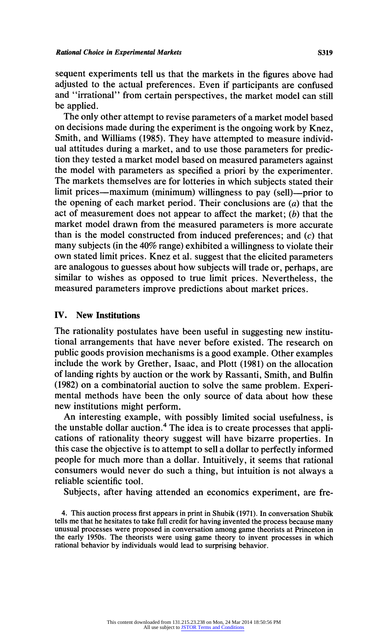**sequent experiments tell us that the markets in the figures above had adjusted to the actual preferences. Even if participants are confused and "irrational" from certain perspectives, the market model can still be applied.** 

**The only other attempt to revise parameters of a market model based on decisions made during the experiment is the ongoing work by Knez, Smith, and Williams (1985). They have attempted to measure individual attitudes during a market, and to use those parameters for prediction they tested a market model based on measured parameters against the model with parameters as specified a priori by the experimenter. The markets themselves are for lotteries in which subjects stated their**  limit prices—maximum (minimum) willingness to pay (sell)—prior to **the opening of each market period. Their conclusions are (a) that the act of measurement does not appear to affect the market; (b) that the market model drawn from the measured parameters is more accurate than is the model constructed from induced preferences; and (c) that many subjects (in the 40% range) exhibited a willingness to violate their own stated limit prices. Knez et al. suggest that the elicited parameters are analogous to guesses about how subjects will trade or, perhaps, are similar to wishes as opposed to true limit prices. Nevertheless, the measured parameters improve predictions about market prices.** 

### **IV. New Institutions**

**The rationality postulates have been useful in suggesting new institutional arrangements that have never before existed. The research on public goods provision mechanisms is a good example. Other examples include the work by Grether, Isaac, and Plott (1981) on the allocation of landing rights by auction or the work by Rassanti, Smith, and Bulfin (1982) on a combinatorial auction to solve the same problem. Experimental methods have been the only source of data about how these new institutions might perform.** 

**An interesting example, with possibly limited social usefulness, is the unstable dollar auction.4 The idea is to create processes that applications of rationality theory suggest will have bizarre properties. In this case the objective is to attempt to sell a dollar to perfectly informed people for much more than a dollar. Intuitively, it seems that rational consumers would never do such a thing, but intuition is not always a reliable scientific tool.** 

**Subjects, after having attended an economics experiment, are fre-**

**4. This auction process first appears in print in Shubik (1971). In conversation Shubik tells me that he hesitates to take full credit for having invented the process because many unusual processes were proposed in conversation among game theorists at Princeton in the early 1950s. The theorists were using game theory to invent processes in which rational behavior by individuals would lead to surprising behavior.**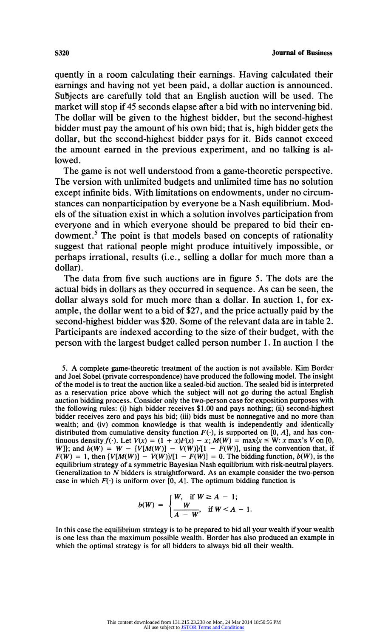**quently in a room calculating their earnings. Having calculated their earnings and having not yet been paid, a dollar auction is announced. Subjects are carefully told that an English auction will be used. The market will stop if 45 seconds elapse after a bid with no intervening bid. The dollar will be given to the highest bidder, but the second-highest bidder must pay the amount of his own bid; that is, high bidder gets the dollar, but the second-highest bidder pays for it. Bids cannot exceed the amount earned in the previous experiment, and no talking is allowed.** 

**The game is not well understood from a game-theoretic perspective. The version with unlimited budgets and unlimited time has no solution except infinite bids. With limitations on endowments, under no circumstances can nonparticipation by everyone be a Nash equilibrium. Models of the situation exist in which a solution involves participation from everyone and in which everyone should be prepared to bid their endowment.5 The point is that models based on concepts of rationality suggest that rational people might produce intuitively impossible, or perhaps irrational, results (i.e., selling a dollar for much more than a dollar).** 

**The data from five such auctions are in figure 5. The dots are the actual bids in dollars as they occurred in sequence. As can be seen, the dollar always sold for much more than a dollar. In auction 1, for example, the dollar went to a bid of \$27, and the price actually paid by the second-highest bidder was \$20. Some of the relevant data are in table 2. Participants are indexed according to the size of their budget, with the person with the largest budget called person number 1. In auction 1 the** 

**5. A complete game-theoretic treatment of the auction is not available. Kim Border and Joel Sobel (private correspondence) have produced the following model. The insight of the model is to treat the auction like a sealed-bid auction. The sealed bid is interpreted as a reservation price above which the subject will not go during the actual English auction bidding process. Consider only the two-person case for exposition purposes with the following rules: (i) high bidder receives \$1.00 and pays nothing; (ii) second-highest bidder receives zero and pays his bid; (iii) bids must be nonnegative and no more than wealth; and (iv) common knowledge is that wealth is independently and identically**  distributed from cumulative density function  $F(\cdot)$ , is supported on [0, A], and has continuous density  $f(\cdot)$ . Let  $V(x) = (1 + x)F(x) - x$ ;  $M(W) = \max\{x \le W: x \max\}$  V on [0, **W**]}; and  $b(W) = W - \{V[M(W)] - V(W)\}/[1 - F(W)]$ , using the convention that, if  $F(W) = 1$ , then  $\{V[M(W)] - V(W)\}/[1 - F(W)] = 0$ . The bidding function,  $b(W)$ , is the **equilibrium strategy of a symmetric Bayesian Nash equilibrium with risk-neutral players. Generalization to N bidders is straightforward. As an example consider the two-person**  case in which  $F(\cdot)$  is uniform over [0, A]. The optimum bidding function is

$$
b(W) = \begin{cases} W, & \text{if } W \geq A - 1; \\ \frac{W}{A - W}, & \text{if } W < A - 1. \end{cases}
$$

**In this case the equilibrium strategy is to be prepared to bid all your wealth if your wealth is one less than the maximum possible wealth. Border has also produced an example in which the optimal strategy is for all bidders to always bid all their wealth.**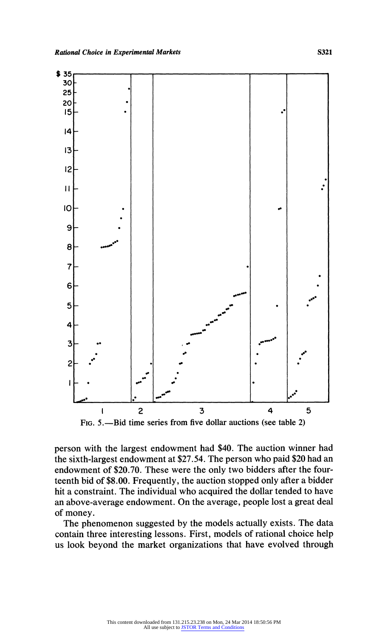

**person with the largest endowment had \$40. The auction winner had the sixth-largest endowment at \$27.54. The person who paid \$20 had an endowment of \$20.70. These were the only two bidders after the fourteenth bid of \$8.00. Frequently, the auction stopped only after a bidder hit a constraint. The individual who acquired the dollar tended to have** 

**The phenomenon suggested by the models actually exists. The data contain three interesting lessons. First, models of rational choice help us look beyond the market organizations that have evolved through** 

**an above-average endowment. On the average, people lost a great deal** 

**of money.**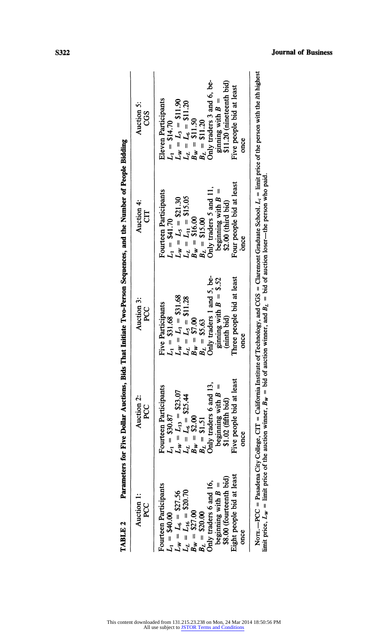| TABLE 2                                                                                                                                                                                                                                          |                                                                                                                                                                                                                                                    | Parameters for Five Dollar Auctions, Bids That Initiate Two-Person Sequences, and the Number of People Bidding                                                                                                                                  |                                                                                                                                                                                                                                                          |                                                                                                                                                                                                                                                     |
|--------------------------------------------------------------------------------------------------------------------------------------------------------------------------------------------------------------------------------------------------|----------------------------------------------------------------------------------------------------------------------------------------------------------------------------------------------------------------------------------------------------|-------------------------------------------------------------------------------------------------------------------------------------------------------------------------------------------------------------------------------------------------|----------------------------------------------------------------------------------------------------------------------------------------------------------------------------------------------------------------------------------------------------------|-----------------------------------------------------------------------------------------------------------------------------------------------------------------------------------------------------------------------------------------------------|
| Auction 1:<br>PCC                                                                                                                                                                                                                                | Auction 2:<br>PCC                                                                                                                                                                                                                                  | Auction 3:<br>PCC                                                                                                                                                                                                                               | Auction 4:<br>CIT                                                                                                                                                                                                                                        | Auction 5:<br>CGS                                                                                                                                                                                                                                   |
| Eight people bid at least<br>\$8.00 (fourteenth bid)<br>Only traders 6 and 16,<br>beginning with $B =$<br>Fourteen Participants<br>$L_1 = $40.00$<br>$L_W = L_6 = $27.56$<br>$L_L = L_{16} = $20.70$<br>$B_W = $27.00$<br>$B_L = $20.00$<br>once | Five people bid at least<br>Only traders 6 and 13,<br>beginning with $B =$<br>Fourteen Participants<br>$L_w = L_{13} = $23.07$<br>$L_L = L_6 = $25.44$<br>$$1.02$ (fifth bid)<br>$L_1 = $30.87$<br>$B_W = $2.00$<br>$B_L = $1.51$<br>$\frac{3}{2}$ | Only traders 1 and 5, be-<br>Three people bid at least<br>ginning with $B = $.52$<br>$L_1 = $31.68$<br>$L_w = L_1 = $31.68$<br>$L_L = L_5 = $11.28$<br>$B_w = $7.00$<br><b>Five Participants</b><br>(ninth bid)<br>$B_I = $5.63$<br><b>SSCS</b> | Four people bid at least<br>Only traders 5 and 11,<br>$\mathsf{I}$<br>Fourteen Participants<br>beginning with $B$<br>$L_1 = $41.70$<br>$L_w = L_s = $21.30$<br>$L_L = L_{11} = $15.05$<br>$B_w = $16.00$<br>\$2.00 (third bid)<br>$B_L = $15.00$<br>once | Only traders 3 and 6, be-<br>\$11.20 (nineteenth bid)<br>Five people bid at least<br>Eleven Participants<br>$L_1 = $14.70$<br>$L_W = L_3 = $11.90$<br>$L_L = L_6 = $11.20$<br>$B_W = $11.50$<br>ginning with $B =$<br>$B_L = $11.20$<br><b>CECC</b> |
| limit price, $L_W =$ limit price                                                                                                                                                                                                                 |                                                                                                                                                                                                                                                    | of the auction winner, $B_W = \text{bid of auction winner, and } B_L = \text{bid of auction loss} - \text{the person who paid.}$                                                                                                                |                                                                                                                                                                                                                                                          | NorE.--PCC = Pasadena City College, CIT = California Institute of Technology, and CGS = Claremont Graduate School. $L_i$ = limit price of the person with the ith highest                                                                           |

| I<br>ļ           |
|------------------|
|                  |
| ׇ֚֘              |
| l                |
|                  |
|                  |
|                  |
|                  |
|                  |
|                  |
|                  |
|                  |
|                  |
|                  |
|                  |
|                  |
|                  |
|                  |
|                  |
|                  |
| i<br>I<br>I<br>I |
|                  |
|                  |
|                  |
| l                |
|                  |
|                  |
|                  |
|                  |
|                  |
| $\overline{ }$   |
| $\mathbf{r}$     |
| i                |
|                  |
|                  |
|                  |
|                  |
|                  |
|                  |
| ו<br>ו           |
|                  |
|                  |
|                  |
|                  |
|                  |
|                  |
|                  |
|                  |
|                  |
|                  |
| l<br>ı           |
|                  |
|                  |
|                  |
| J                |
| ۰<br>آ<br>ļ      |

This content downloaded from 131.215.23.238 on Mon, 24 Mar 2014 18:50:56 PM All use subject to [JSTOR Terms and Conditions](http://www.jstor.org/page/info/about/policies/terms.jsp)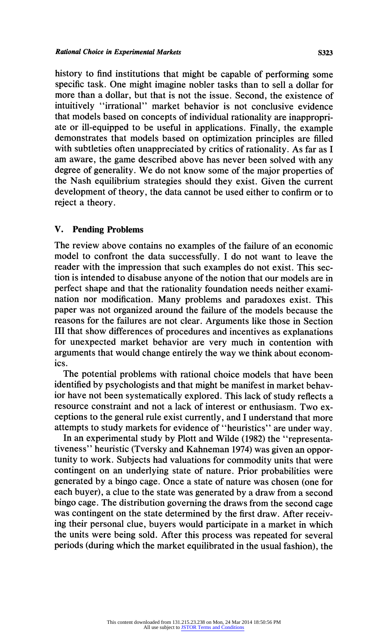**history to find institutions that might be capable of performing some specific task. One might imagine nobler tasks than to sell a dollar for more than a dollar, but that is not the issue. Second, the existence of intuitively "irrational" market behavior is not conclusive evidence that models based on concepts of individual rationality are inappropriate or ill-equipped to be useful in applications. Finally, the example demonstrates that models based on optimization principles are filled with subtleties often unappreciated by critics of rationality. As far as I am aware, the game described above has never been solved with any degree of generality. We do not know some of the major properties of the Nash equilibrium strategies should they exist. Given the current development of theory, the data cannot be used either to confirm or to reject a theory.** 

#### **V. Pending Problems**

**The review above contains no examples of the failure of an economic model to confront the data successfully. I do not want to leave the reader with the impression that such examples do not exist. This section is intended to disabuse anyone of the notion that our models are in perfect shape and that the rationality foundation needs neither examination nor modification. Many problems and paradoxes exist. This paper was not organized around the failure of the models because the reasons for the failures are not clear. Arguments like those in Section III that show differences of procedures and incentives as explanations for unexpected market behavior are very much in contention with arguments that would change entirely the way we think about economics.** 

**The potential problems with rational choice models that have been identified by psychologists and that might be manifest in market behavior have not been systematically explored. This lack of study reflects a resource constraint and not a lack of interest or enthusiasm. Two exceptions to the general rule exist currently, and I understand that more attempts to study markets for evidence of "heuristics" are under way.** 

**In an experimental study by Plott and Wilde (1982) the "representativeness" heuristic (Tversky and Kahneman 1974) was given an opportunity to work. Subjects had valuations for commodity units that were contingent on an underlying state of nature. Prior probabilities were generated by a bingo cage. Once a state of nature was chosen (one for each buyer), a clue to the state was generated by a draw from a second bingo cage. The distribution governing the draws from the second cage was contingent on the state determined by the first draw. After receiving their personal clue, buyers would participate in a market in which the units were being sold. After this process was repeated for several periods (during which the market equilibrated in the usual fashion), the**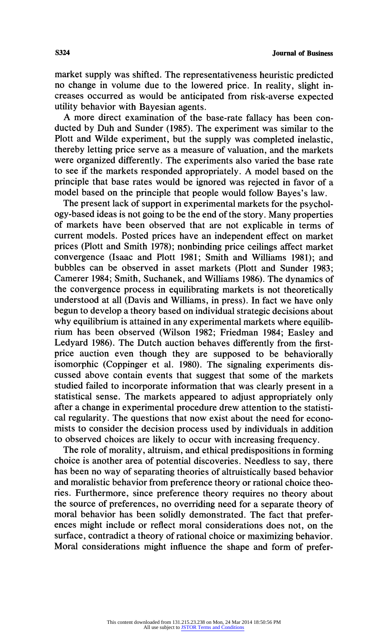**market supply was shifted. The representativeness heuristic predicted no change in volume due to the lowered price. In reality, slight increases occurred as would be anticipated from risk-averse expected utility behavior with Bayesian agents.** 

**A more direct examination of the base-rate fallacy has been conducted by Duh and Sunder (1985). The experiment was similar to the Plott and Wilde experiment, but the supply was completed inelastic, thereby letting price serve as a measure of valuation, and the markets were organized differently. The experiments also varied the base rate to see if the markets responded appropriately. A model based on the principle that base rates would be ignored was rejected in favor of a model based on the principle that people would follow Bayes's law.** 

**The present lack of support in experimental markets for the psychology-based ideas is not going to be the end of the story. Many properties of markets have been observed that are not explicable in terms of current models. Posted prices have an independent effect on market prices (Plott and Smith 1978); nonbinding price ceilings affect market convergence (Isaac and Plott 1981; Smith and Williams 1981); and bubbles can be observed in asset markets (Plott and Sunder 1983; Camerer 1984; Smith, Suchanek, and Williams 1986). The dynamics of the convergence process in equilibrating markets is not theoretically understood at all (Davis and Williams, in press). In fact we have only begun to develop a theory based on individual strategic decisions about why equilibrium is attained in any experimental markets where equilibrium has been observed (Wilson 1982; Friedman 1984; Easley and Ledyard 1986). The Dutch auction behaves differently from the firstprice auction even though they are supposed to be behaviorally isomorphic (Coppinger et al. 1980). The signaling experiments discussed above contain events that suggest that some of the markets studied failed to incorporate information that was clearly present in a statistical sense. The markets appeared to adjust appropriately only after a change in experimental procedure drew attention to the statistical regularity. The questions that now exist about the need for economists to consider the decision process used by individuals in addition to observed choices are likely to occur with increasing frequency.** 

**The role of morality, altruism, and ethical predispositions in forming choice is another area of potential discoveries. Needless to say, there has been no way of separating theories of altruistically based behavior and moralistic behavior from preference theory or rational choice theories. Furthermore, since preference theory requires no theory about the source of preferences, no overriding need for a separate theory of moral behavior has been solidly demonstrated. The fact that preferences might include or reflect moral considerations does not, on the surface, contradict a theory of rational choice or maximizing behavior. Moral considerations might influence the shape and form of prefer-**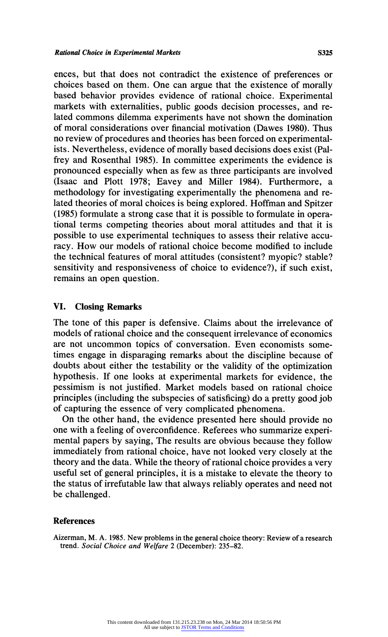**ences, but that does not contradict the existence of preferences or choices based on them. One can argue that the existence of morally based behavior provides evidence of rational choice. Experimental markets with externalities, public goods decision processes, and related commons dilemma experiments have not shown the domination of moral considerations over financial motivation (Dawes 1980). Thus no review of procedures and theories has been forced on experimentalists. Nevertheless, evidence of morally based decisions does exist (Palfrey and Rosenthal 1985). In committee experiments the evidence is pronounced especially when as few as three participants are involved (Isaac and Plott 1978; Eavey and Miller 1984). Furthermore, a methodology for investigating experimentally the phenomena and related theories of moral choices is being explored. Hoffman and Spitzer (1985) formulate a strong case that it is possible to formulate in operational terms competing theories about moral attitudes and that it is possible to use experimental techniques to assess their relative accuracy. How our models of rational choice become modified to include the technical features of moral attitudes (consistent? myopic? stable? sensitivity and responsiveness of choice to evidence?), if such exist, remains an open question.** 

## **VI. Closing Remarks**

**The tone of this paper is defensive. Claims about the irrelevance of models of rational choice and the consequent irrelevance of economics are not uncommon topics of conversation. Even economists sometimes engage in disparaging remarks about the discipline because of doubts about either the testability or the validity of the optimization hypothesis. If one looks at experimental markets for evidence, the pessimism is not justified. Market models based on rational choice principles (including the subspecies of satisficing) do a pretty good job of capturing the essence of very complicated phenomena.** 

**On the other hand, the evidence presented here should provide no one with a feeling of overconfidence. Referees who summarize experimental papers by saying, The results are obvious because they follow immediately from rational choice, have not looked very closely at the theory and the data. While the theory of rational choice provides a very useful set of general principles, it is a mistake to elevate the theory to the status of irrefutable law that always reliably operates and need not be challenged.** 

#### **References**

**Aizerman, M. A. 1985. New problems in the general choice theory: Review of a research trend. Social Choice and Welfare 2 (December): 235-82.**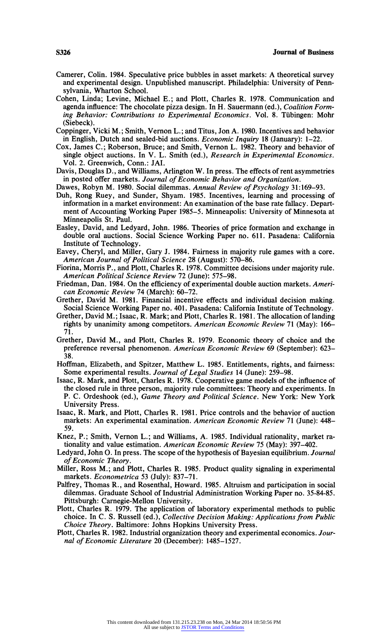- **Camerer, Colin. 1984. Speculative price bubbles in asset markets: A theoretical survey and experimental design. Unpublished manuscript. Philadelphia: University of Pennsylvania, Wharton School.**
- **Cohen, Linda; Levine, Michael E.; and Plott, Charles R. 1978. Communication and agenda influence: The chocolate pizza design. In H. Sauermann (ed.), Coalition Forming Behavior: Contributions to Experimental Economics. Vol. 8. Tubingen: Mohr (Siebeck).**
- **Coppinger, Vicki M.; Smith, Vernon L.; and Titus, Jon A. 1980. Incentives and behavior in English, Dutch and sealed-bid auctions. Economic Inquiry 18 (January): 1-22.**
- **Cox, James C.; Roberson, Bruce; and Smith, Vernon L. 1982. Theory and behavior of single object auctions. In V. L. Smith (ed.), Research in Experimental Economics. Vol. 2. Greenwich, Conn.: JAI.**
- **Davis, Douglas D., and Williams, Arlington W. In press. The effects of rent asymmetries in posted offer markets. Journal of Economic Behavior and Organization.**
- **Dawes, Robyn M. 1980. Social dilemmas. Annual Review of Psychology 31:169-93.**
- **Duh, Rong Ruey, and Sunder, Shyam. 1985. Incentives, learning and processing of information in a market environment: An examination of the base rate fallacy. Department of Accounting Working Paper 1985-5. Minneapolis: University of Minnesota at Minneapolis St. Paul.**
- **Easley, David, and Ledyard, John. 1986. Theories of price formation and exchange in double oral auctions. Social Science Working Paper no. 611. Pasadena: California Institute of Technology.**
- **Eavey, Cheryl, and Miller, Gary J. 1984. Fairness in majority rule games with a core. American Journal of Political Science 28 (August): 570-86.**
- **Fiorina, Morris P., and Plott, Charles R. 1978. Committee decisions under majority rule. American Political Science Review 72 (June): 575-98.**
- **Friedman, Dan. 1984. On the efficiency of experimental double auction markets. American Economic Review 74 (March): 60-72.**
- **Grether, David M. 1981. Financial incentive effects and individual decision making. Social Science Working Paper no. 401. Pasadena: California Institute of Technology.**
- **Grether, David M.; Isaac, R. Mark; and Plott, Charles R. 1981. The allocation of landing rights by unanimity among competitors. American Economic Review 71 (May): 166- 71.**
- **Grether, David M., and Plott, Charles R. 1979. Economic theory of choice and the preference reversal phenomenon. American Economic Review 69 (September): 623- 38.**
- **Hoffman, Elizabeth, and Spitzer, Matthew L. 1985. Entitlements, rights, and fairness: Some experimental results. Journal of Legal Studies 14 (June): 259-98.**
- **Isaac, R. Mark, and Plott, Charles R. 1978. Cooperative game models of the influence of the closed rule in three person, majority rule committees: Theory and experiments. In P. C. Ordeshook (ed.), Game Theory and Political Science. New York: New York University Press.**
- **Isaac, R. Mark, and Plott, Charles R. 1981. Price controls and the behavior of auction markets: An experimental examination. American Economic Review 71 (June): 448- 59.**
- **Knez, P.; Smith, Vernon L.; and Williams, A. 1985. Individual rationality, market rationality and value estimation. American Economic Review 75 (May): 397-402.**
- **Ledyard, John 0. In press. The scope of the hypothesis of Bayesian equilibrium. Journal of Economic Theory.**
- **Miller, Ross M.; and Plott, Charles R. 1985. Product quality signaling in experimental markets. Econometrica 53 (July): 837-71.**
- **Palfrey, Thomas R., and Rosenthal, Howard. 1985. Altruism and participation in social dilemmas. Graduate School of Industrial Administration Working Paper no. 35-84-85. Pittsburgh: Carnegie-Mellon University.**
- **Plott, Charles R. 1979. The application of laboratory experimental methods to public choice. In C. S. Russell (ed.), Collective Decision Making: Applications from Public Choice Theory. Baltimore: Johns Hopkins University Press.**
- **Plott, Charles R. 1982. Industrial organization theory and experimental economics. Journal of Economic Literature 20 (December): 1485-1527.**